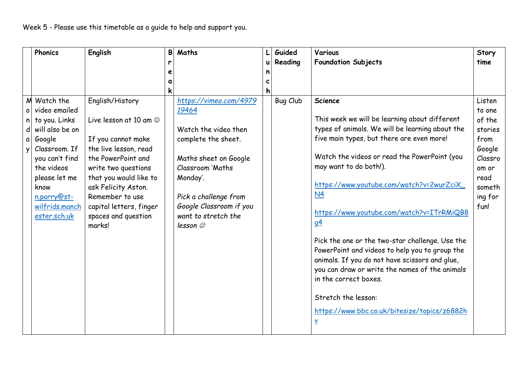|              | <b>Phonics</b>                                                                                                                                                                                                   | English                                                                                                                                                                                                                                                                     | B | Maths                                                                                                                                                                                                                                  |   | Guided          | Various                                                                                                                                                                                                                                                                                                                                                                                                                                                                     | Story                                                                                                            |
|--------------|------------------------------------------------------------------------------------------------------------------------------------------------------------------------------------------------------------------|-----------------------------------------------------------------------------------------------------------------------------------------------------------------------------------------------------------------------------------------------------------------------------|---|----------------------------------------------------------------------------------------------------------------------------------------------------------------------------------------------------------------------------------------|---|-----------------|-----------------------------------------------------------------------------------------------------------------------------------------------------------------------------------------------------------------------------------------------------------------------------------------------------------------------------------------------------------------------------------------------------------------------------------------------------------------------------|------------------------------------------------------------------------------------------------------------------|
|              |                                                                                                                                                                                                                  |                                                                                                                                                                                                                                                                             | r |                                                                                                                                                                                                                                        | u | Reading         | <b>Foundation Subjects</b>                                                                                                                                                                                                                                                                                                                                                                                                                                                  | time                                                                                                             |
|              |                                                                                                                                                                                                                  |                                                                                                                                                                                                                                                                             | e |                                                                                                                                                                                                                                        | n |                 |                                                                                                                                                                                                                                                                                                                                                                                                                                                                             |                                                                                                                  |
|              |                                                                                                                                                                                                                  |                                                                                                                                                                                                                                                                             | a |                                                                                                                                                                                                                                        |   |                 |                                                                                                                                                                                                                                                                                                                                                                                                                                                                             |                                                                                                                  |
| $\mathbf{v}$ | M Watch the<br>o video emailed<br>$n $ to you. Links<br>d will also be on<br>a Google<br>Classroom. If<br>you can't find<br>the videos<br>please let me<br>know<br>n.parry@st-<br>wilfrids.manch<br>ester.sch.uk | English/History<br>Live lesson at 10 am $\odot$<br>If you cannot make<br>the live lesson, read<br>the PowerPoint and<br>write two questions<br>that you would like to<br>ask Felicity Aston.<br>Remember to use<br>capital letters, finger<br>spaces and question<br>marks! |   | https://vimeo.com/4979<br>19464<br>Watch the video then<br>complete the sheet.<br>Maths sheet on Google<br>Classroom 'Maths<br>Monday'.<br>Pick a challenge from<br>Google Classroom if you<br>want to stretch the<br>lesson $\oslash$ |   | <b>Bug Club</b> | <b>Science</b><br>This week we will be learning about different<br>types of animals. We will be learning about the<br>five main types, but there are even more!<br>Watch the videos or read the PowerPoint (you<br>may want to do both!).<br>https://www.youtube.com/watch?v=2wurZciX<br>N <sub>4</sub><br>https://www.youtube.com/watch?v=ITrRMiQB8<br>9 <sup>4</sup><br>Pick the one or the two-star challenge. Use the<br>PowerPoint and videos to help you to group the | Listen<br>to one<br>of the<br>stories<br>from<br>Google<br>Classro<br>om or<br>read<br>someth<br>ing for<br>fun! |
|              |                                                                                                                                                                                                                  |                                                                                                                                                                                                                                                                             |   |                                                                                                                                                                                                                                        |   |                 | animals. If you do not have scissors and glue,<br>you can draw or write the names of the animals<br>in the correct boxes.                                                                                                                                                                                                                                                                                                                                                   |                                                                                                                  |
|              |                                                                                                                                                                                                                  |                                                                                                                                                                                                                                                                             |   |                                                                                                                                                                                                                                        |   |                 | Stretch the lesson:<br>https://www.bbc.co.uk/bitesize/topics/z6882h<br>$\underline{\mathsf{v}}$                                                                                                                                                                                                                                                                                                                                                                             |                                                                                                                  |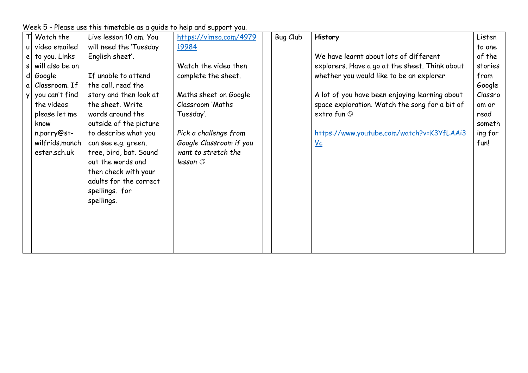|              | Watch the         | Live lesson 10 am. You | https://vimeo.com/4979  | Bug Club | <b>History</b>                                 | Listen  |
|--------------|-------------------|------------------------|-------------------------|----------|------------------------------------------------|---------|
| $\mathsf{u}$ | video emailed     | will need the 'Tuesday | 19984                   |          |                                                | to one  |
|              | $e$ to you. Links | English sheet'.        |                         |          | We have learnt about lots of different         | of the  |
| $\mathsf{s}$ | will also be on   |                        | Watch the video then    |          | explorers. Have a go at the sheet. Think about | stories |
|              | d Google          | If unable to attend    | complete the sheet.     |          | whether you would like to be an explorer.      | from    |
| $\alpha$     | Classroom. If     | the call, read the     |                         |          |                                                | Google  |
| <b>y</b>     | you can't find    | story and then look at | Maths sheet on Google   |          | A lot of you have been enjoying learning about | Classro |
|              | the videos        | the sheet. Write       | <b>Classroom 'Maths</b> |          | space exploration. Watch the song for a bit of | om or   |
|              | please let me     | words around the       | Tuesday'.               |          | extra fun $\odot$                              | read    |
|              | know              | outside of the picture |                         |          |                                                | someth  |
|              | n.parry@st-       | to describe what you   | Pick a challenge from   |          | https://www.youtube.com/watch?v=K3YfLAAi3      | ing for |
|              | wilfrids.manch    | can see e.g. green,    | Google Classroom if you |          | $vc$                                           | fun!    |
|              | ester.sch.uk      | tree, bird, bat. Sound | want to stretch the     |          |                                                |         |
|              |                   | out the words and      | lesson $\oslash$        |          |                                                |         |
|              |                   | then check with your   |                         |          |                                                |         |
|              |                   | adults for the correct |                         |          |                                                |         |
|              |                   | spellings. for         |                         |          |                                                |         |
|              |                   | spellings.             |                         |          |                                                |         |
|              |                   |                        |                         |          |                                                |         |
|              |                   |                        |                         |          |                                                |         |
|              |                   |                        |                         |          |                                                |         |
|              |                   |                        |                         |          |                                                |         |
|              |                   |                        |                         |          |                                                |         |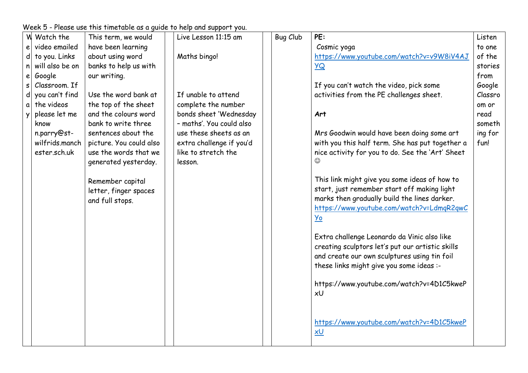| video emailed<br>have been learning<br>Cosmic yoga<br>to one<br>e<br>about using word<br>https://www.youtube.com/watch?v=v9W8iV4AJ<br>of the<br>d to you. Links<br>Maths bingo!<br>banks to help us with<br>will also be on<br><b>YQ</b><br>stories<br>n<br>Google<br>from<br>our writing.<br>е<br>Classroom. If<br>If you can't watch the video, pick some<br>Google<br>S<br>$\mathsf{d}$<br>If unable to attend<br>you can't find<br>Use the word bank at<br>activities from the PE challenges sheet.<br>Classro<br>the videos<br>the top of the sheet<br>complete the number<br>om or<br>a<br>and the colours word<br>please let me<br>bonds sheet 'Wednesday<br>Art<br>read<br>Ÿ<br>- maths'. You could also<br>bank to write three<br>someth<br>know<br>ing for<br>n.parry@st-<br>sentences about the<br>use these sheets as an<br>Mrs Goodwin would have been doing some art<br>wilfrids.manch<br>picture. You could also<br>extra challenge if you'd<br>with you this half term. She has put together a<br>fun!<br>use the words that we<br>like to stretch the<br>ester.sch.uk<br>nice activity for you to do. See the 'Art' Sheet<br>generated yesterday.<br>lesson.<br>This link might give you some ideas of how to<br>Remember capital<br>start, just remember start off making light<br>letter, finger spaces<br>marks then gradually build the lines darker.<br>and full stops.<br>https://www.youtube.com/watch?v=LdmgR2gwC | <b>W</b> Watch the |
|--------------------------------------------------------------------------------------------------------------------------------------------------------------------------------------------------------------------------------------------------------------------------------------------------------------------------------------------------------------------------------------------------------------------------------------------------------------------------------------------------------------------------------------------------------------------------------------------------------------------------------------------------------------------------------------------------------------------------------------------------------------------------------------------------------------------------------------------------------------------------------------------------------------------------------------------------------------------------------------------------------------------------------------------------------------------------------------------------------------------------------------------------------------------------------------------------------------------------------------------------------------------------------------------------------------------------------------------------------------------------------------------------------------------------------------------|--------------------|
|                                                                                                                                                                                                                                                                                                                                                                                                                                                                                                                                                                                                                                                                                                                                                                                                                                                                                                                                                                                                                                                                                                                                                                                                                                                                                                                                                                                                                                            |                    |
|                                                                                                                                                                                                                                                                                                                                                                                                                                                                                                                                                                                                                                                                                                                                                                                                                                                                                                                                                                                                                                                                                                                                                                                                                                                                                                                                                                                                                                            |                    |
|                                                                                                                                                                                                                                                                                                                                                                                                                                                                                                                                                                                                                                                                                                                                                                                                                                                                                                                                                                                                                                                                                                                                                                                                                                                                                                                                                                                                                                            |                    |
|                                                                                                                                                                                                                                                                                                                                                                                                                                                                                                                                                                                                                                                                                                                                                                                                                                                                                                                                                                                                                                                                                                                                                                                                                                                                                                                                                                                                                                            |                    |
|                                                                                                                                                                                                                                                                                                                                                                                                                                                                                                                                                                                                                                                                                                                                                                                                                                                                                                                                                                                                                                                                                                                                                                                                                                                                                                                                                                                                                                            |                    |
|                                                                                                                                                                                                                                                                                                                                                                                                                                                                                                                                                                                                                                                                                                                                                                                                                                                                                                                                                                                                                                                                                                                                                                                                                                                                                                                                                                                                                                            |                    |
|                                                                                                                                                                                                                                                                                                                                                                                                                                                                                                                                                                                                                                                                                                                                                                                                                                                                                                                                                                                                                                                                                                                                                                                                                                                                                                                                                                                                                                            |                    |
|                                                                                                                                                                                                                                                                                                                                                                                                                                                                                                                                                                                                                                                                                                                                                                                                                                                                                                                                                                                                                                                                                                                                                                                                                                                                                                                                                                                                                                            |                    |
|                                                                                                                                                                                                                                                                                                                                                                                                                                                                                                                                                                                                                                                                                                                                                                                                                                                                                                                                                                                                                                                                                                                                                                                                                                                                                                                                                                                                                                            |                    |
|                                                                                                                                                                                                                                                                                                                                                                                                                                                                                                                                                                                                                                                                                                                                                                                                                                                                                                                                                                                                                                                                                                                                                                                                                                                                                                                                                                                                                                            |                    |
|                                                                                                                                                                                                                                                                                                                                                                                                                                                                                                                                                                                                                                                                                                                                                                                                                                                                                                                                                                                                                                                                                                                                                                                                                                                                                                                                                                                                                                            |                    |
|                                                                                                                                                                                                                                                                                                                                                                                                                                                                                                                                                                                                                                                                                                                                                                                                                                                                                                                                                                                                                                                                                                                                                                                                                                                                                                                                                                                                                                            |                    |
|                                                                                                                                                                                                                                                                                                                                                                                                                                                                                                                                                                                                                                                                                                                                                                                                                                                                                                                                                                                                                                                                                                                                                                                                                                                                                                                                                                                                                                            |                    |
|                                                                                                                                                                                                                                                                                                                                                                                                                                                                                                                                                                                                                                                                                                                                                                                                                                                                                                                                                                                                                                                                                                                                                                                                                                                                                                                                                                                                                                            |                    |
|                                                                                                                                                                                                                                                                                                                                                                                                                                                                                                                                                                                                                                                                                                                                                                                                                                                                                                                                                                                                                                                                                                                                                                                                                                                                                                                                                                                                                                            |                    |
|                                                                                                                                                                                                                                                                                                                                                                                                                                                                                                                                                                                                                                                                                                                                                                                                                                                                                                                                                                                                                                                                                                                                                                                                                                                                                                                                                                                                                                            |                    |
|                                                                                                                                                                                                                                                                                                                                                                                                                                                                                                                                                                                                                                                                                                                                                                                                                                                                                                                                                                                                                                                                                                                                                                                                                                                                                                                                                                                                                                            |                    |
|                                                                                                                                                                                                                                                                                                                                                                                                                                                                                                                                                                                                                                                                                                                                                                                                                                                                                                                                                                                                                                                                                                                                                                                                                                                                                                                                                                                                                                            |                    |
| <b>Yo</b>                                                                                                                                                                                                                                                                                                                                                                                                                                                                                                                                                                                                                                                                                                                                                                                                                                                                                                                                                                                                                                                                                                                                                                                                                                                                                                                                                                                                                                  |                    |
|                                                                                                                                                                                                                                                                                                                                                                                                                                                                                                                                                                                                                                                                                                                                                                                                                                                                                                                                                                                                                                                                                                                                                                                                                                                                                                                                                                                                                                            |                    |
| Extra challenge Leonardo da Vinic also like                                                                                                                                                                                                                                                                                                                                                                                                                                                                                                                                                                                                                                                                                                                                                                                                                                                                                                                                                                                                                                                                                                                                                                                                                                                                                                                                                                                                |                    |
| creating sculptors let's put our artistic skills                                                                                                                                                                                                                                                                                                                                                                                                                                                                                                                                                                                                                                                                                                                                                                                                                                                                                                                                                                                                                                                                                                                                                                                                                                                                                                                                                                                           |                    |
| and create our own sculptures using tin foil                                                                                                                                                                                                                                                                                                                                                                                                                                                                                                                                                                                                                                                                                                                                                                                                                                                                                                                                                                                                                                                                                                                                                                                                                                                                                                                                                                                               |                    |
| these links might give you some ideas :-                                                                                                                                                                                                                                                                                                                                                                                                                                                                                                                                                                                                                                                                                                                                                                                                                                                                                                                                                                                                                                                                                                                                                                                                                                                                                                                                                                                                   |                    |
|                                                                                                                                                                                                                                                                                                                                                                                                                                                                                                                                                                                                                                                                                                                                                                                                                                                                                                                                                                                                                                                                                                                                                                                                                                                                                                                                                                                                                                            |                    |
| https://www.youtube.com/watch?v=4D1C5kweP                                                                                                                                                                                                                                                                                                                                                                                                                                                                                                                                                                                                                                                                                                                                                                                                                                                                                                                                                                                                                                                                                                                                                                                                                                                                                                                                                                                                  |                    |
| xU                                                                                                                                                                                                                                                                                                                                                                                                                                                                                                                                                                                                                                                                                                                                                                                                                                                                                                                                                                                                                                                                                                                                                                                                                                                                                                                                                                                                                                         |                    |
|                                                                                                                                                                                                                                                                                                                                                                                                                                                                                                                                                                                                                                                                                                                                                                                                                                                                                                                                                                                                                                                                                                                                                                                                                                                                                                                                                                                                                                            |                    |
| https://www.youtube.com/watch?v=4D1C5kweP                                                                                                                                                                                                                                                                                                                                                                                                                                                                                                                                                                                                                                                                                                                                                                                                                                                                                                                                                                                                                                                                                                                                                                                                                                                                                                                                                                                                  |                    |
| xU                                                                                                                                                                                                                                                                                                                                                                                                                                                                                                                                                                                                                                                                                                                                                                                                                                                                                                                                                                                                                                                                                                                                                                                                                                                                                                                                                                                                                                         |                    |
|                                                                                                                                                                                                                                                                                                                                                                                                                                                                                                                                                                                                                                                                                                                                                                                                                                                                                                                                                                                                                                                                                                                                                                                                                                                                                                                                                                                                                                            |                    |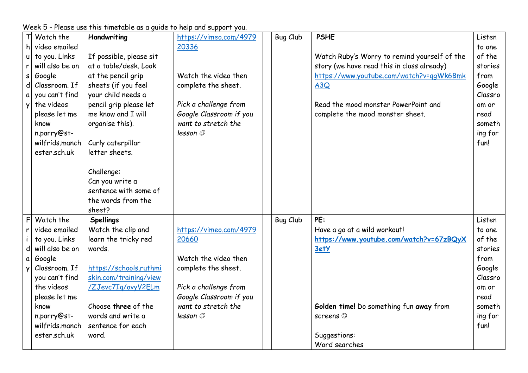|   | Watch the                     | Handwriting             | https://vimeo.com/4979  | <b>Bug Club</b> | <b>PSHE</b>                                  | Listen  |
|---|-------------------------------|-------------------------|-------------------------|-----------------|----------------------------------------------|---------|
|   | h video emailed               |                         | 20336                   |                 |                                              | to one  |
|   | to you. Links<br>u            | If possible, please sit |                         |                 | Watch Ruby's Worry to remind yourself of the | of the  |
| r | will also be on               | at a table/desk. Look   |                         |                 | story (we have read this in class already)   | stories |
|   | Google<br>S                   | at the pencil grip      | Watch the video then    |                 | https://www.youtube.com/watch?v=qqWk6Bmk     | from    |
|   | Classroom. If<br>$\mathsf{d}$ | sheets (if you feel     | complete the sheet.     |                 | A3Q                                          | Google  |
|   | you can't find<br>a           | your child needs a      |                         |                 |                                              | Classro |
| y | the videos                    | pencil grip please let  | Pick a challenge from   |                 | Read the mood monster PowerPoint and         | om or   |
|   | please let me                 | me know and I will      | Google Classroom if you |                 | complete the mood monster sheet.             | read    |
|   | know                          | organise this).         | want to stretch the     |                 |                                              | someth  |
|   | n.parry@st-                   |                         | lesson ©                |                 |                                              | ing for |
|   | wilfrids.manch                | Curly caterpillar       |                         |                 |                                              | fun!    |
|   | ester.sch.uk                  | letter sheets.          |                         |                 |                                              |         |
|   |                               |                         |                         |                 |                                              |         |
|   |                               | Challenge:              |                         |                 |                                              |         |
|   |                               | Can you write a         |                         |                 |                                              |         |
|   |                               | sentence with some of   |                         |                 |                                              |         |
|   |                               | the words from the      |                         |                 |                                              |         |
|   |                               | sheet?                  |                         |                 |                                              |         |
|   | F<br>Watch the                | <b>Spellings</b>        |                         | <b>Bug Club</b> | PE:                                          | Listen  |
| r | video emailed                 | Watch the clip and      | https://vimeo.com/4979  |                 | Have a go at a wild workout!                 | to one  |
|   | to you. Links                 | learn the tricky red    | 20660                   |                 | https://www.youtube.com/watch?v=67zBQyX      | of the  |
|   | will also be on<br>d          | words.                  |                         |                 | 3etY                                         | stories |
|   | Google<br>a                   |                         | Watch the video then    |                 |                                              | from    |
| y | Classroom. If                 | https://schools.ruthmi  | complete the sheet.     |                 |                                              | Google  |
|   | you can't find                | skin.com/training/view  |                         |                 |                                              | Classro |
|   | the videos                    | /ZJevc7Iq/avyV2ELm      | Pick a challenge from   |                 |                                              | om or   |
|   | please let me                 |                         | Google Classroom if you |                 |                                              | read    |
|   | know                          | Choose three of the     | want to stretch the     |                 | Golden time! Do something fun away from      | someth  |
|   | n.parry@st-                   | words and write a       | lesson                  |                 | screens $\odot$                              | ing for |
|   | wilfrids.manch                | sentence for each       |                         |                 |                                              | fun!    |
|   | ester.sch.uk                  | word.                   |                         |                 | Suggestions:                                 |         |
|   |                               |                         |                         |                 | Word searches                                |         |